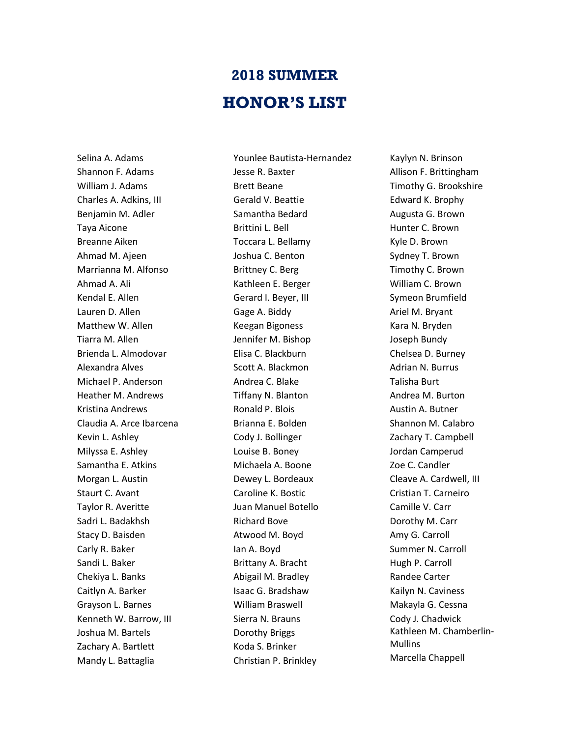## **2018 SUMMER HONOR'S LIST**

Selina A. Adams Shannon F. Adams William J. Adams Charles A. Adkins, III Benjamin M. Adler Taya Aicone Breanne Aiken Ahmad M. Ajeen Marrianna M. Alfonso Ahmad A. Ali Kendal E. Allen Lauren D. Allen Matthew W. Allen Tiarra M. Allen Brienda L. Almodovar Alexandra Alves Michael P. Anderson Heather M. Andrews Kristina Andrews Claudia A. Arce Ibarcena Kevin L. Ashley Milyssa E. Ashley Samantha E. Atkins Morgan L. Austin Staurt C. Avant Taylor R. Averitte Sadri L. Badakhsh Stacy D. Baisden Carly R. Baker Sandi L. Baker Chekiya L. Banks Caitlyn A. Barker Grayson L. Barnes Kenneth W. Barrow, III Joshua M. Bartels Zachary A. Bartlett Mandy L. Battaglia

Younlee Bautista-Hernandez Jesse R. Baxter Brett Beane Gerald V. Beattie Samantha Bedard Brittini L. Bell Toccara L. Bellamy Joshua C. Benton Brittney C. Berg Kathleen E. Berger Gerard I. Beyer, III Gage A. Biddy Keegan Bigoness Jennifer M. Bishop Elisa C. Blackburn Scott A. Blackmon Andrea C. Blake Tiffany N. Blanton Ronald P. Blois Brianna E. Bolden Cody J. Bollinger Louise B. Boney Michaela A. Boone Dewey L. Bordeaux Caroline K. Bostic Juan Manuel Botello Richard Bove Atwood M. Boyd Ian A. Boyd Brittany A. Bracht Abigail M. Bradley Isaac G. Bradshaw William Braswell Sierra N. Brauns Dorothy Briggs Koda S. Brinker Christian P. Brinkley

Kaylyn N. Brinson Allison F. Brittingham Timothy G. Brookshire Edward K. Brophy Augusta G. Brown Hunter C. Brown Kyle D. Brown Sydney T. Brown Timothy C. Brown William C. Brown Symeon Brumfield Ariel M. Bryant Kara N. Bryden Joseph Bundy Chelsea D. Burney Adrian N. Burrus Talisha Burt Andrea M. Burton Austin A. Butner Shannon M. Calabro Zachary T. Campbell Jordan Camperud Zoe C. Candler Cleave A. Cardwell, III Cristian T. Carneiro Camille V. Carr Dorothy M. Carr Amy G. Carroll Summer N. Carroll Hugh P. Carroll Randee Carter Kailyn N. Caviness Makayla G. Cessna Cody J. Chadwick Kathleen M. Chamberlin-Mullins Marcella Chappell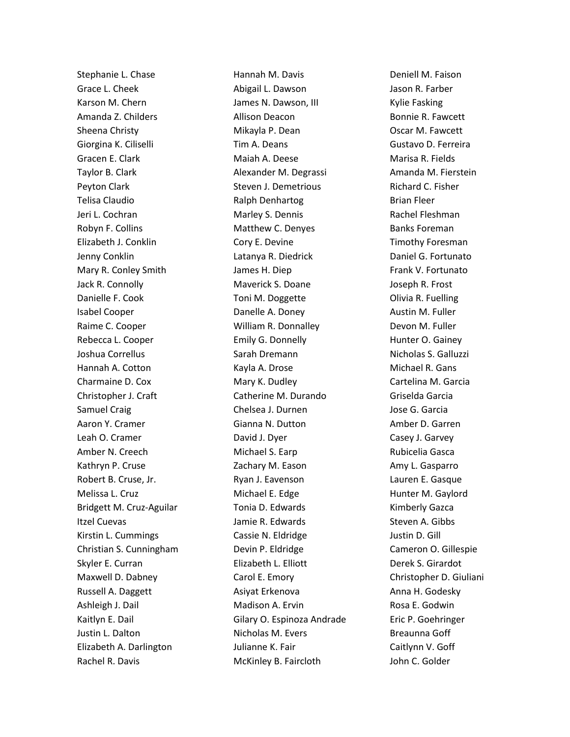Stephanie L. Chase Grace L. Cheek Karson M. Chern Amanda Z. Childers Sheena Christy Giorgina K. Ciliselli Gracen E. Clark Taylor B. Clark Peyton Clark Telisa Claudio Jeri L. Cochran Robyn F. Collins Elizabeth J. Conklin Jenny Conklin Mary R. Conley Smith Jack R. Connolly Danielle F. Cook Isabel Cooper Raime C. Cooper Rebecca L. Cooper Joshua Correllus Hannah A. Cotton Charmaine D. Cox Christopher J. Craft Samuel Craig Aaron Y. Cramer Leah O. Cramer Amber N. Creech Kathryn P. Cruse Robert B. Cruse, Jr. Melissa L. Cruz Bridgett M. Cruz-Aguilar Itzel Cuevas Kirstin L. Cummings Christian S. Cunningham Skyler E. Curran Maxwell D. Dabney Russell A. Daggett Ashleigh J. Dail Kaitlyn E. Dail Justin L. Dalton Elizabeth A. Darlington Rachel R. Davis

Hannah M. Davis Abigail L. Dawson James N. Dawson, III Allison Deacon Mikayla P. Dean Tim A. Deans Maiah A. Deese Alexander M. Degrassi Steven J. Demetrious Ralph Denhartog Marley S. Dennis Matthew C. Denyes Cory E. Devine Latanya R. Diedrick James H. Diep Maverick S. Doane Toni M. Doggette Danelle A. Doney William R. Donnalley Emily G. Donnelly Sarah Dremann Kayla A. Drose Mary K. Dudley Catherine M. Durando Chelsea J. Durnen Gianna N. Dutton David J. Dyer Michael S. Earp Zachary M. Eason Ryan J. Eavenson Michael E. Edge Tonia D. Edwards Jamie R. Edwards Cassie N. Eldridge Devin P. Eldridge Elizabeth L. Elliott Carol E. Emory Asiyat Erkenova Madison A. Ervin Gilary O. Espinoza Andrade Nicholas M. Evers Julianne K. Fair McKinley B. Faircloth

Deniell M. Faison Jason R. Farber Kylie Fasking Bonnie R. Fawcett Oscar M. Fawcett Gustavo D. Ferreira Marisa R. Fields Amanda M. Fierstein Richard C. Fisher Brian Fleer Rachel Fleshman Banks Foreman Timothy Foresman Daniel G. Fortunato Frank V. Fortunato Joseph R. Frost Olivia R. Fuelling Austin M. Fuller Devon M. Fuller Hunter O. Gainey Nicholas S. Galluzzi Michael R. Gans Cartelina M. Garcia Griselda Garcia Jose G. Garcia Amber D. Garren Casey J. Garvey Rubicelia Gasca Amy L. Gasparro Lauren E. Gasque Hunter M. Gaylord Kimberly Gazca Steven A. Gibbs Justin D. Gill Cameron O. Gillespie Derek S. Girardot Christopher D. Giuliani Anna H. Godesky Rosa E. Godwin Eric P. Goehringer Breaunna Goff Caitlynn V. Goff John C. Golder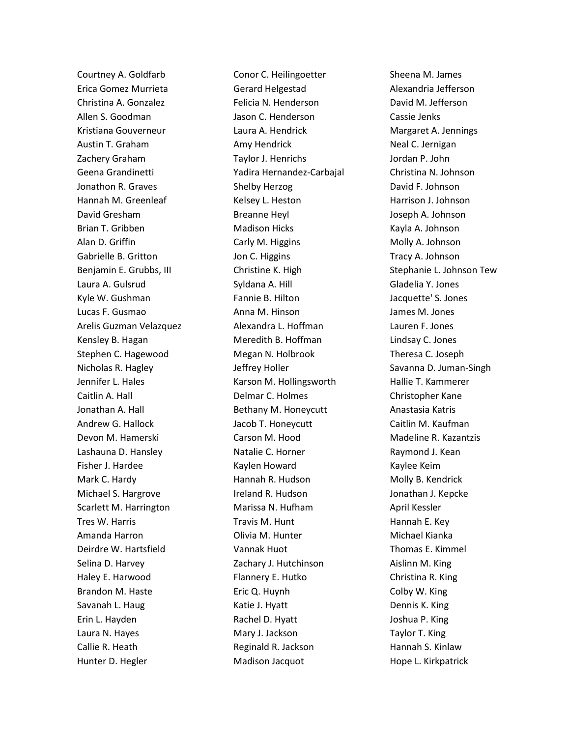Courtney A. Goldfarb Erica Gomez Murrieta Christina A. Gonzalez Allen S. Goodman Kristiana Gouverneur Austin T. Graham Zachery Graham Geena Grandinetti Jonathon R. Graves Hannah M. Greenleaf David Gresham Brian T. Gribben Alan D. Griffin Gabrielle B. Gritton Benjamin E. Grubbs, III Laura A. Gulsrud Kyle W. Gushman Lucas F. Gusmao Arelis Guzman Velazquez Kensley B. Hagan Stephen C. Hagewood Nicholas R. Hagley Jennifer L. Hales Caitlin A. Hall Jonathan A. Hall Andrew G. Hallock Devon M. Hamerski Lashauna D. Hansley Fisher J. Hardee Mark C. Hardy Michael S. Hargrove Scarlett M. Harrington Tres W. Harris Amanda Harron Deirdre W. Hartsfield Selina D. Harvey Haley E. Harwood Brandon M. Haste Savanah L. Haug Erin L. Hayden Laura N. Hayes Callie R. Heath Hunter D. Hegler

Conor C. Heilingoetter Gerard Helgestad Felicia N. Henderson Jason C. Henderson Laura A. Hendrick Amy Hendrick Taylor J. Henrichs Yadira Hernandez-Carbajal Shelby Herzog Kelsey L. Heston Breanne Heyl Madison Hicks Carly M. Higgins Jon C. Higgins Christine K. High Syldana A. Hill Fannie B. Hilton Anna M. Hinson Alexandra L. Hoffman Meredith B. Hoffman Megan N. Holbrook Jeffrey Holler Karson M. Hollingsworth Delmar C. Holmes Bethany M. Honeycutt Jacob T. Honeycutt Carson M. Hood Natalie C. Horner Kaylen Howard Hannah R. Hudson Ireland R. Hudson Marissa N. Hufham Travis M. Hunt Olivia M. Hunter Vannak Huot Zachary J. Hutchinson Flannery E. Hutko Eric Q. Huynh Katie J. Hyatt Rachel D. Hyatt Mary J. Jackson Reginald R. Jackson Madison Jacquot

Sheena M. James Alexandria Jefferson David M. Jefferson Cassie Jenks Margaret A. Jennings Neal C. Jernigan Jordan P. John Christina N. Johnson David F. Johnson Harrison J. Johnson Joseph A. Johnson Kayla A. Johnson Molly A. Johnson Tracy A. Johnson Stephanie L. Johnson Tew Gladelia Y. Jones Jacquette' S. Jones James M. Jones Lauren F. Jones Lindsay C. Jones Theresa C. Joseph Savanna D. Juman-Singh Hallie T. Kammerer Christopher Kane Anastasia Katris Caitlin M. Kaufman Madeline R. Kazantzis Raymond J. Kean Kaylee Keim Molly B. Kendrick Jonathan J. Kepcke April Kessler Hannah E. Key Michael Kianka Thomas E. Kimmel Aislinn M. King Christina R. King Colby W. King Dennis K. King Joshua P. King Taylor T. King Hannah S. Kinlaw Hope L. Kirkpatrick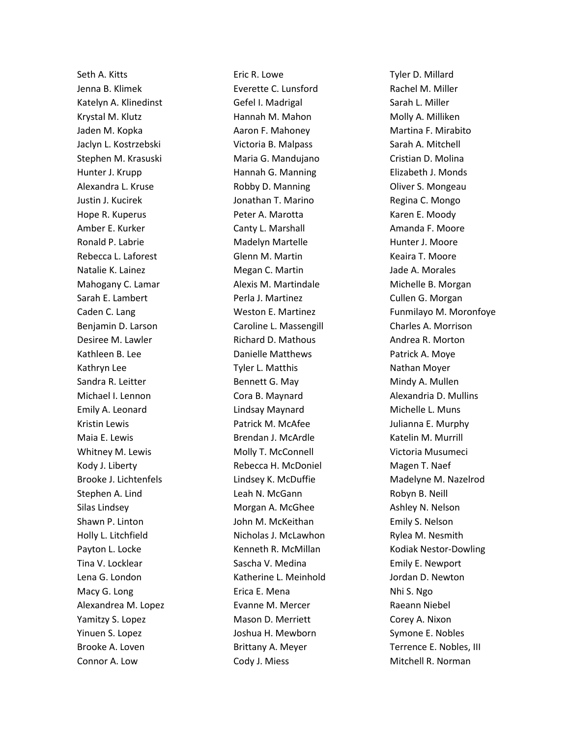Seth A. Kitts Jenna B. Klimek Katelyn A. Klinedinst Krystal M. Klutz Jaden M. Kopka Jaclyn L. Kostrzebski Stephen M. Krasuski Hunter J. Krupp Alexandra L. Kruse Justin J. Kucirek Hope R. Kuperus Amber E. Kurker Ronald P. Labrie Rebecca L. Laforest Natalie K. Lainez Mahogany C. Lamar Sarah E. Lambert Caden C. Lang Benjamin D. Larson Desiree M. Lawler Kathleen B. Lee Kathryn Lee Sandra R. Leitter Michael I. Lennon Emily A. Leonard Kristin Lewis Maia E. Lewis Whitney M. Lewis Kody J. Liberty Brooke J. Lichtenfels Stephen A. Lind Silas Lindsey Shawn P. Linton Holly L. Litchfield Payton L. Locke Tina V. Locklear Lena G. London Macy G. Long Alexandrea M. Lopez Yamitzy S. Lopez Yinuen S. Lopez Brooke A. Loven Connor A. Low

Eric R. Lowe Everette C. Lunsford Gefel I. Madrigal Hannah M. Mahon Aaron F. Mahoney Victoria B. Malpass Maria G. Mandujano Hannah G. Manning Robby D. Manning Jonathan T. Marino Peter A. Marotta Canty L. Marshall Madelyn Martelle Glenn M. Martin Megan C. Martin Alexis M. Martindale Perla J. Martinez Weston E. Martinez Caroline L. Massengill Richard D. Mathous Danielle Matthews Tyler L. Matthis Bennett G. May Cora B. Maynard Lindsay Maynard Patrick M. McAfee Brendan J. McArdle Molly T. McConnell Rebecca H. McDoniel Lindsey K. McDuffie Leah N. McGann Morgan A. McGhee John M. McKeithan Nicholas J. McLawhon Kenneth R. McMillan Sascha V. Medina Katherine L. Meinhold Erica E. Mena Evanne M. Mercer Mason D. Merriett Joshua H. Mewborn Brittany A. Meyer Cody J. Miess

Tyler D. Millard Rachel M. Miller Sarah L. Miller Molly A. Milliken Martina F. Mirabito Sarah A. Mitchell Cristian D. Molina Elizabeth J. Monds Oliver S. Mongeau Regina C. Mongo Karen E. Moody Amanda F. Moore Hunter J. Moore Keaira T. Moore Jade A. Morales Michelle B. Morgan Cullen G. Morgan Funmilayo M. Moronfoye Charles A. Morrison Andrea R. Morton Patrick A. Moye Nathan Moyer Mindy A. Mullen Alexandria D. Mullins Michelle L. Muns Julianna E. Murphy Katelin M. Murrill Victoria Musumeci Magen T. Naef Madelyne M. Nazelrod Robyn B. Neill Ashley N. Nelson Emily S. Nelson Rylea M. Nesmith Kodiak Nestor-Dowling Emily E. Newport Jordan D. Newton Nhi S. Ngo Raeann Niebel Corey A. Nixon Symone E. Nobles Terrence E. Nobles, III Mitchell R. Norman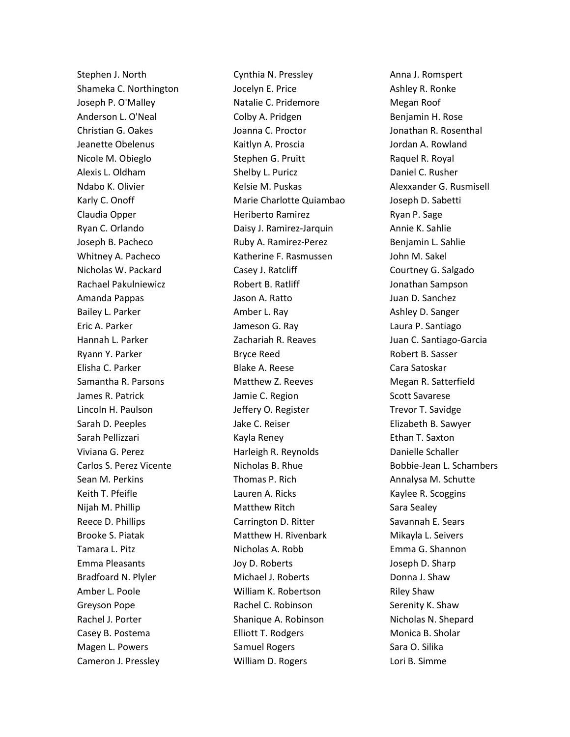Stephen J. North Shameka C. Northington Joseph P. O'Malley Anderson L. O'Neal Christian G. Oakes Jeanette Obelenus Nicole M. Obieglo Alexis L. Oldham Ndabo K. Olivier Karly C. Onoff Claudia Opper Ryan C. Orlando Joseph B. Pacheco Whitney A. Pacheco Nicholas W. Packard Rachael Pakulniewicz Amanda Pappas Bailey L. Parker Eric A. Parker Hannah L. Parker Ryann Y. Parker Elisha C. Parker Samantha R. Parsons James R. Patrick Lincoln H. Paulson Sarah D. Peeples Sarah Pellizzari Viviana G. Perez Carlos S. Perez Vicente Sean M. Perkins Keith T. Pfeifle Nijah M. Phillip Reece D. Phillips Brooke S. Piatak Tamara L. Pitz Emma Pleasants Bradfoard N. Plyler Amber L. Poole Greyson Pope Rachel J. Porter Casey B. Postema Magen L. Powers Cameron J. Pressley

Cynthia N. Pressley Jocelyn E. Price Natalie C. Pridemore Colby A. Pridgen Joanna C. Proctor Kaitlyn A. Proscia Stephen G. Pruitt Shelby L. Puricz Kelsie M. Puskas Marie Charlotte Quiambao Heriberto Ramirez Daisy J. Ramirez-Jarquin Ruby A. Ramirez-Perez Katherine F. Rasmussen Casey J. Ratcliff Robert B. Ratliff Jason A. Ratto Amber L. Ray Jameson G. Ray Zachariah R. Reaves Bryce Reed Blake A. Reese Matthew Z. Reeves Jamie C. Region Jeffery O. Register Jake C. Reiser Kayla Reney Harleigh R. Reynolds Nicholas B. Rhue Thomas P. Rich Lauren A. Ricks Matthew Ritch Carrington D. Ritter Matthew H. Rivenbark Nicholas A. Robb Joy D. Roberts Michael J. Roberts William K. Robertson Rachel C. Robinson Shanique A. Robinson Elliott T. Rodgers Samuel Rogers William D. Rogers

Anna J. Romspert Ashley R. Ronke Megan Roof Benjamin H. Rose Jonathan R. Rosenthal Jordan A. Rowland Raquel R. Royal Daniel C. Rusher Alexxander G. Rusmisell Joseph D. Sabetti Ryan P. Sage Annie K. Sahlie Benjamin L. Sahlie John M. Sakel Courtney G. Salgado Jonathan Sampson Juan D. Sanchez Ashley D. Sanger Laura P. Santiago Juan C. Santiago-Garcia Robert B. Sasser Cara Satoskar Megan R. Satterfield Scott Savarese Trevor T. Savidge Elizabeth B. Sawyer Ethan T. Saxton Danielle Schaller Bobbie-Jean L. Schambers Annalysa M. Schutte Kaylee R. Scoggins Sara Sealey Savannah E. Sears Mikayla L. Seivers Emma G. Shannon Joseph D. Sharp Donna J. Shaw Riley Shaw Serenity K. Shaw Nicholas N. Shepard Monica B. Sholar Sara O. Silika Lori B. Simme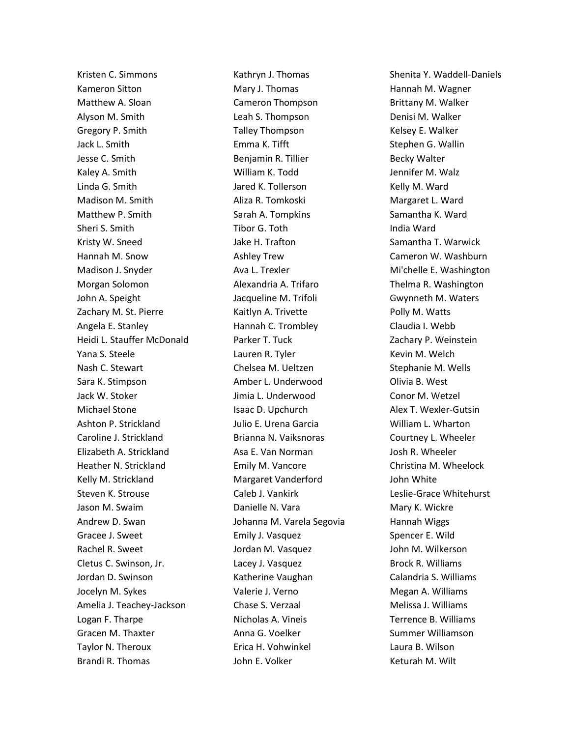Kristen C. Simmons Kameron Sitton Matthew A. Sloan Alyson M. Smith Gregory P. Smith Jack L. Smith Jesse C. Smith Kaley A. Smith Linda G. Smith Madison M. Smith Matthew P. Smith Sheri S. Smith Kristy W. Sneed Hannah M. Snow Madison J. Snyder Morgan Solomon John A. Speight Zachary M. St. Pierre Angela E. Stanley Heidi L. Stauffer McDonald Yana S. Steele Nash C. Stewart Sara K. Stimpson Jack W. Stoker Michael Stone Ashton P. Strickland Caroline J. Strickland Elizabeth A. Strickland Heather N. Strickland Kelly M. Strickland Steven K. Strouse Jason M. Swaim Andrew D. Swan Gracee J. Sweet Rachel R. Sweet Cletus C. Swinson, Jr. Jordan D. Swinson Jocelyn M. Sykes Amelia J. Teachey-Jackson Logan F. Tharpe Gracen M. Thaxter Taylor N. Theroux Brandi R. Thomas

Kathryn J. Thomas Mary J. Thomas Cameron Thompson Leah S. Thompson Talley Thompson Emma K. Tifft Benjamin R. Tillier William K. Todd Jared K. Tollerson Aliza R. Tomkoski Sarah A. Tompkins Tibor G. Toth Jake H. Trafton Ashley Trew Ava L. Trexler Alexandria A. Trifaro Jacqueline M. Trifoli Kaitlyn A. Trivette Hannah C. Trombley Parker T. Tuck Lauren R. Tyler Chelsea M. Ueltzen Amber L. Underwood Jimia L. Underwood Isaac D. Upchurch Julio E. Urena Garcia Brianna N. Vaiksnoras Asa E. Van Norman Emily M. Vancore Margaret Vanderford Caleb J. Vankirk Danielle N. Vara Johanna M. Varela Segovia Emily J. Vasquez Jordan M. Vasquez Lacey J. Vasquez Katherine Vaughan Valerie J. Verno Chase S. Verzaal Nicholas A. Vineis Anna G. Voelker Erica H. Vohwinkel John E. Volker

Shenita Y. Waddell-Daniels Hannah M. Wagner Brittany M. Walker Denisi M. Walker Kelsey E. Walker Stephen G. Wallin Becky Walter Jennifer M. Walz Kelly M. Ward Margaret L. Ward Samantha K. Ward India Ward Samantha T. Warwick Cameron W. Washburn Mi'chelle E. Washington Thelma R. Washington Gwynneth M. Waters Polly M. Watts Claudia I. Webb Zachary P. Weinstein Kevin M. Welch Stephanie M. Wells Olivia B. West Conor M. Wetzel Alex T. Wexler-Gutsin William L. Wharton Courtney L. Wheeler Josh R. Wheeler Christina M. Wheelock John White Leslie-Grace Whitehurst Mary K. Wickre Hannah Wiggs Spencer E. Wild John M. Wilkerson Brock R. Williams Calandria S. Williams Megan A. Williams Melissa J. Williams Terrence B. Williams Summer Williamson Laura B. Wilson Keturah M. Wilt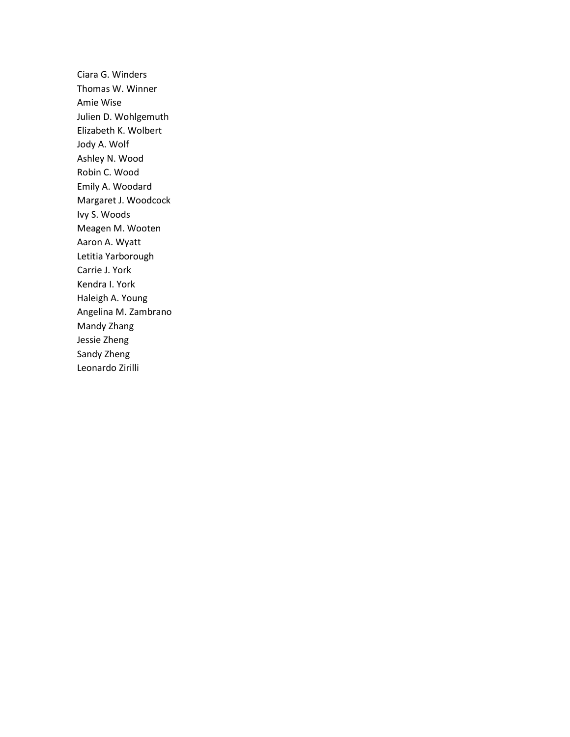Ciara G. Winders Thomas W. Winner Amie Wise Julien D. Wohlgemuth Elizabeth K. Wolbert Jody A. Wolf Ashley N. Wood Robin C. Wood Emily A. Woodard Margaret J. Woodcock Ivy S. Woods Meagen M. Wooten Aaron A. Wyatt Letitia Yarborough Carrie J. York Kendra I. York Haleigh A. Young Angelina M. Zambrano Mandy Zhang Jessie Zheng Sandy Zheng Leonardo Zirilli